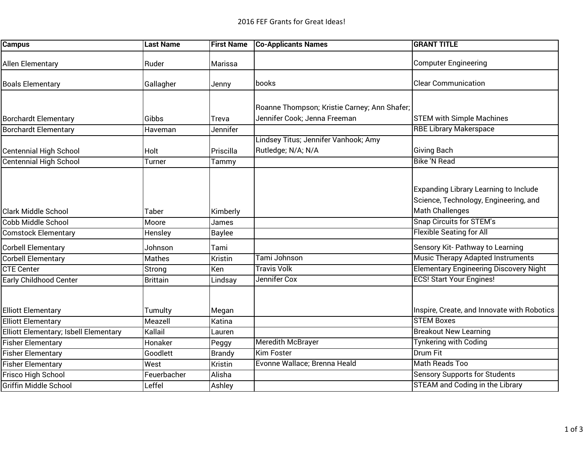| <b>Campus</b>                         | <b>Last Name</b> | <b>First Name</b> | <b>Co-Applicants Names</b>                   | <b>GRANT TITLE</b>                            |
|---------------------------------------|------------------|-------------------|----------------------------------------------|-----------------------------------------------|
| Allen Elementary                      | Ruder            | Marissa           |                                              | <b>Computer Engineering</b>                   |
| <b>Boals Elementary</b>               | Gallagher        | Jenny             | books                                        | <b>Clear Communication</b>                    |
|                                       |                  |                   |                                              |                                               |
|                                       |                  |                   | Roanne Thompson; Kristie Carney; Ann Shafer; |                                               |
| <b>Borchardt Elementary</b>           | Gibbs            | Treva             | Jennifer Cook; Jenna Freeman                 | <b>STEM with Simple Machines</b>              |
| <b>Borchardt Elementary</b>           | Haveman          | Jennifer          |                                              | <b>RBE Library Makerspace</b>                 |
|                                       |                  |                   | Lindsey Titus; Jennifer Vanhook; Amy         |                                               |
| <b>Centennial High School</b>         | <b>Holt</b>      | Priscilla         | Rutledge; N/A; N/A                           | <b>Giving Bach</b>                            |
| <b>Centennial High School</b>         | Turner           | Tammy             |                                              | <b>Bike 'N Read</b>                           |
|                                       |                  |                   |                                              |                                               |
|                                       |                  |                   |                                              |                                               |
|                                       |                  |                   |                                              | <b>Expanding Library Learning to Include</b>  |
|                                       |                  |                   |                                              | Science, Technology, Engineering, and         |
| <b>Clark Middle School</b>            | <b>Taber</b>     | Kimberly          |                                              | <b>Math Challenges</b>                        |
| Cobb Middle School                    | Moore            | James             |                                              | <b>Snap Circuits for STEM's</b>               |
| <b>Comstock Elementary</b>            | Hensley          | <b>Baylee</b>     |                                              | <b>Flexible Seating for All</b>               |
| <b>Corbell Elementary</b>             | Johnson          | Tami              |                                              | Sensory Kit- Pathway to Learning              |
| <b>Corbell Elementary</b>             | <b>Mathes</b>    | Kristin           | Tami Johnson                                 | <b>Music Therapy Adapted Instruments</b>      |
| <b>CTE Center</b>                     | Strong           | Ken               | <b>Travis Volk</b>                           | <b>Elementary Engineering Discovery Night</b> |
| <b>Early Childhood Center</b>         | <b>Brittain</b>  | Lindsay           | Jennifer Cox                                 | <b>ECS! Start Your Engines!</b>               |
|                                       |                  |                   |                                              |                                               |
|                                       |                  |                   |                                              |                                               |
| <b>Elliott Elementary</b>             | Tumulty          | Megan             |                                              | Inspire, Create, and Innovate with Robotics   |
| <b>Elliott Elementary</b>             | Meazell          | Katina            |                                              | <b>STEM Boxes</b>                             |
| Elliott Elementary; Isbell Elementary | Kallail          | Lauren            |                                              | <b>Breakout New Learning</b>                  |
| <b>Fisher Elementary</b>              | Honaker          | Peggy             | <b>Meredith McBrayer</b>                     | <b>Tynkering with Coding</b>                  |
| Fisher Elementary                     | Goodlett         | <b>Brandy</b>     | <b>Kim Foster</b>                            | <b>Drum Fit</b>                               |
| <b>Fisher Elementary</b>              | West             | Kristin           | Evonne Wallace; Brenna Heald                 | <b>Math Reads Too</b>                         |
| Frisco High School                    | Feuerbacher      | Alisha            |                                              | <b>Sensory Supports for Students</b>          |
| <b>Griffin Middle School</b>          | Leffel           | Ashley            |                                              | <b>STEAM and Coding in the Library</b>        |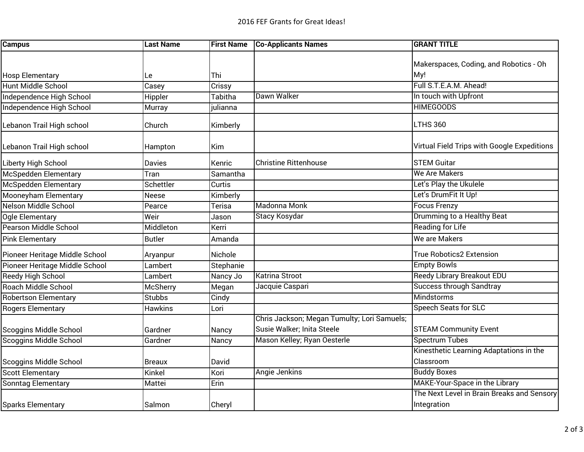| <b>Campus</b>                  | <b>Last Name</b> | <b>First Name</b> | <b>Co-Applicants Names</b>                  | <b>GRANT TITLE</b>                          |
|--------------------------------|------------------|-------------------|---------------------------------------------|---------------------------------------------|
|                                |                  |                   |                                             |                                             |
|                                |                  |                   |                                             | Makerspaces, Coding, and Robotics - Oh      |
| <b>Hosp Elementary</b>         | Le               | Thi               |                                             | My!                                         |
| <b>Hunt Middle School</b>      | Casey            | Crissy            |                                             | Full S.T.E.A.M. Ahead!                      |
| Independence High School       | Hippler          | Tabitha           | Dawn Walker                                 | In touch with Upfront                       |
| Independence High School       | Murray           | julianna          |                                             | <b>HIMEGOODS</b>                            |
| Lebanon Trail High school      | Church           | Kimberly          |                                             | LTHS 360                                    |
| Lebanon Trail High school      | Hampton          | Kim               |                                             | Virtual Field Trips with Google Expeditions |
| Liberty High School            | Davies           | <b>Kenric</b>     | <b>Christine Rittenhouse</b>                | <b>STEM Guitar</b>                          |
| <b>McSpedden Elementary</b>    | Tran             | Samantha          |                                             | <b>We Are Makers</b>                        |
| McSpedden Elementary           | Schettler        | Curtis            |                                             | Let's Play the Ukulele                      |
| Mooneyham Elementary           | Neese            | Kimberly          |                                             | Let's DrumFit It Up!                        |
| Nelson Middle School           | Pearce           | Terisa            | Madonna Monk                                | <b>Focus Frenzy</b>                         |
| Ogle Elementary                | Weir             | Jason             | <b>Stacy Kosydar</b>                        | Drumming to a Healthy Beat                  |
| <b>Pearson Middle School</b>   | Middleton        | Kerri             |                                             | <b>Reading for Life</b>                     |
| <b>Pink Elementary</b>         | <b>Butler</b>    | Amanda            |                                             | We are Makers                               |
| Pioneer Heritage Middle School | Aryanpur         | Nichole           |                                             | <b>True Robotics2 Extension</b>             |
| Pioneer Heritage Middle School | Lambert          | Stephanie         |                                             | <b>Empty Bowls</b>                          |
| Reedy High School              | Lambert          | Nancy Jo          | <b>Katrina Stroot</b>                       | <b>Reedy Library Breakout EDU</b>           |
| <b>Roach Middle School</b>     | McSherry         | Megan             | Jacquie Caspari                             | <b>Success through Sandtray</b>             |
| <b>Robertson Elementary</b>    | <b>Stubbs</b>    | Cindy             |                                             | <b>Mindstorms</b>                           |
| <b>Rogers Elementary</b>       | Hawkins          | Lori              |                                             | Speech Seats for SLC                        |
|                                |                  |                   | Chris Jackson; Megan Tumulty; Lori Samuels; |                                             |
| Scoggins Middle School         | Gardner          | Nancy             | Susie Walker; Inita Steele                  | <b>STEAM Community Event</b>                |
| <b>Scoggins Middle School</b>  | Gardner          | Nancy             | Mason Kelley; Ryan Oesterle                 | <b>Spectrum Tubes</b>                       |
|                                |                  |                   |                                             | Kinesthetic Learning Adaptations in the     |
| Scoggins Middle School         | <b>Breaux</b>    | David             |                                             | Classroom                                   |
| <b>Scott Elementary</b>        | Kinkel           | Kori              | <b>Angie Jenkins</b>                        | <b>Buddy Boxes</b>                          |
| <b>Sonntag Elementary</b>      | Mattei           | Erin              |                                             | MAKE-Your-Space in the Library              |
|                                |                  |                   |                                             | The Next Level in Brain Breaks and Sensory  |
| <b>Sparks Elementary</b>       | Salmon           | Cheryl            |                                             | Integration                                 |